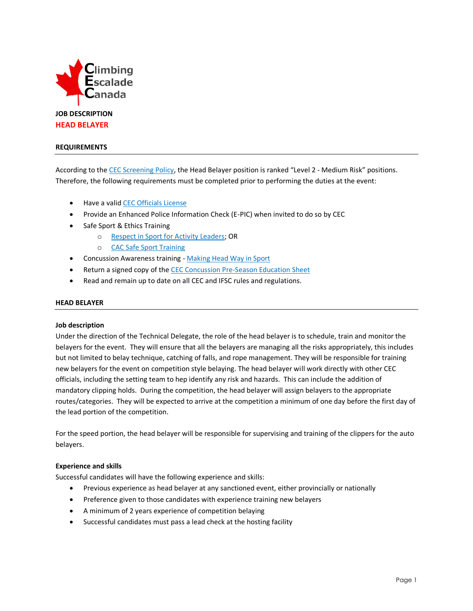

## **REQUIREMENTS**

According to the [CEC Screening Policy,](http://climbingcanada.ca/wp-content/uploads/2020/09/CEC-SP-06-Screening-Policy.pdf) the Head Belayer position is ranked "Level 2 - Medium Risk" positions. Therefore, the following requirements must be completed prior to performing the duties at the event:

- Have a vali[d CEC Officials License](https://member.climbingcanada.ca/login)
- Provide an Enhanced Police Information Check (E-PIC) when invited to do so by CEC
- Safe Sport & Ethics Training
	- o [Respect in Sport for Activity Leaders;](https://climbing-escalade-canada-al.respectgroupinc.com/) OR
	- o [CAC Safe Sport Training](https://safesport.coach.ca/)
- Concussion Awareness training [Making Head Way in Sport](https://coach.ca/making-head-way-concussion-elearning-series)
- Return a signed copy of th[e CEC Concussion Pre-Season Education Sheet](https://www.climbingcanada.ca/wp-content/uploads/2020/12/CEC-PreSeason-Education-Sheet-Parachute-ENG.pdf)
- Read and remain up to date on all CEC and IFSC rules and regulations.

# **HEAD BELAYER**

#### **Job description**

Under the direction of the Technical Delegate, the role of the head belayer is to schedule, train and monitor the belayers for the event. They will ensure that all the belayers are managing all the risks appropriately, this includes but not limited to belay technique, catching of falls, and rope management. They will be responsible for training new belayers for the event on competition style belaying. The head belayer will work directly with other CEC officials, including the setting team to hep identify any risk and hazards. This can include the addition of mandatory clipping holds. During the competition, the head belayer will assign belayers to the appropriate routes/categories. They will be expected to arrive at the competition a minimum of one day before the first day of the lead portion of the competition.

For the speed portion, the head belayer will be responsible for supervising and training of the clippers for the auto belayers.

#### **Experience and skills**

Successful candidates will have the following experience and skills:

- Previous experience as head belayer at any sanctioned event, either provincially or nationally
- Preference given to those candidates with experience training new belayers
- A minimum of 2 years experience of competition belaying
- Successful candidates must pass a lead check at the hosting facility